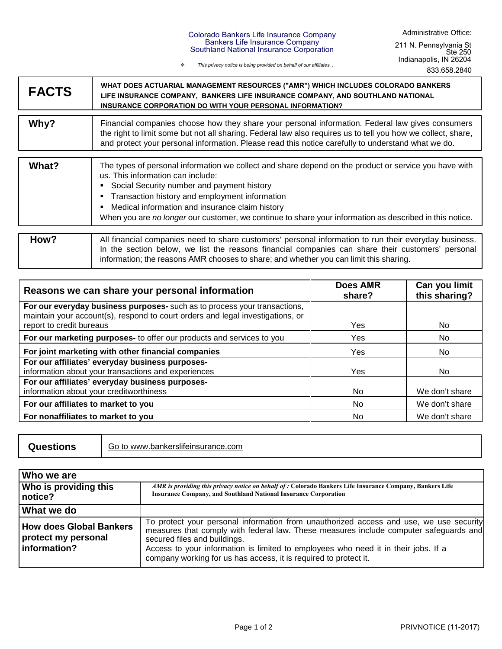## Colorado Bankers Life Insurance Company Bankers Life Insurance Company Southland National Insurance Corporation

*This privacy notice is being provided on behalf of our affiliates. .*

| <b>FACTS</b> | WHAT DOES ACTUARIAL MANAGEMENT RESOURCES ("AMR") WHICH INCLUDES COLORADO BANKERS<br>LIFE INSURANCE COMPANY, BANKERS LIFE INSURANCE COMPANY, AND SOUTHLAND NATIONAL<br><b>INSURANCE CORPORATION DO WITH YOUR PERSONAL INFORMATION?</b>                                                                                                                                                                                   |
|--------------|-------------------------------------------------------------------------------------------------------------------------------------------------------------------------------------------------------------------------------------------------------------------------------------------------------------------------------------------------------------------------------------------------------------------------|
| Why?         | Financial companies choose how they share your personal information. Federal law gives consumers<br>the right to limit some but not all sharing. Federal law also requires us to tell you how we collect, share,<br>and protect your personal information. Please read this notice carefully to understand what we do.                                                                                                  |
| What?        | The types of personal information we collect and share depend on the product or service you have with<br>us. This information can include:<br>Social Security number and payment history<br>٠<br>Transaction history and employment information<br>٠<br>Medical information and insurance claim history<br>٠<br>When you are no longer our customer, we continue to share your information as described in this notice. |
| How?         | All financial companies need to share customers' personal information to run their everyday business.<br>In the section below, we list the reasons financial companies can share their customers' personal<br>information; the reasons AMR chooses to share; and whether you can limit this sharing.                                                                                                                    |

| Reasons we can share your personal information                                                                                                              | <b>Does AMR</b><br>share? | Can you limit<br>this sharing? |
|-------------------------------------------------------------------------------------------------------------------------------------------------------------|---------------------------|--------------------------------|
| For our everyday business purposes- such as to process your transactions,<br>maintain your account(s), respond to court orders and legal investigations, or |                           |                                |
| report to credit bureaus                                                                                                                                    | Yes                       | No                             |
| For our marketing purposes- to offer our products and services to you                                                                                       | Yes                       | No.                            |
| For joint marketing with other financial companies                                                                                                          | Yes                       | No                             |
| For our affiliates' everyday business purposes-                                                                                                             |                           |                                |
| information about your transactions and experiences                                                                                                         | Yes                       | No                             |
| For our affiliates' everyday business purposes-                                                                                                             |                           |                                |
| information about your creditworthiness                                                                                                                     | No                        | We don't share                 |
| For our affiliates to market to you                                                                                                                         | No                        | We don't share                 |
| For nonaffiliates to market to you                                                                                                                          | No.                       | We don't share                 |

**Questions** Go to www.bankerslifeinsurance.com

| l Who we are                                                     |                                                                                                                                                                                                                                                                                                                                                                           |
|------------------------------------------------------------------|---------------------------------------------------------------------------------------------------------------------------------------------------------------------------------------------------------------------------------------------------------------------------------------------------------------------------------------------------------------------------|
| <b>Who is providing this</b><br>notice?                          | AMR is providing this privacy notice on behalf of : Colorado Bankers Life Insurance Company, Bankers Life<br><b>Insurance Company, and Southland National Insurance Corporation</b>                                                                                                                                                                                       |
| <b>What we do</b>                                                |                                                                                                                                                                                                                                                                                                                                                                           |
| How does Global Bankers<br>protect my personal<br>l information? | To protect your personal information from unauthorized access and use, we use security<br>measures that comply with federal law. These measures include computer safeguards and<br>secured files and buildings.<br>Access to your information is limited to employees who need it in their jobs. If a<br>company working for us has access, it is required to protect it. |